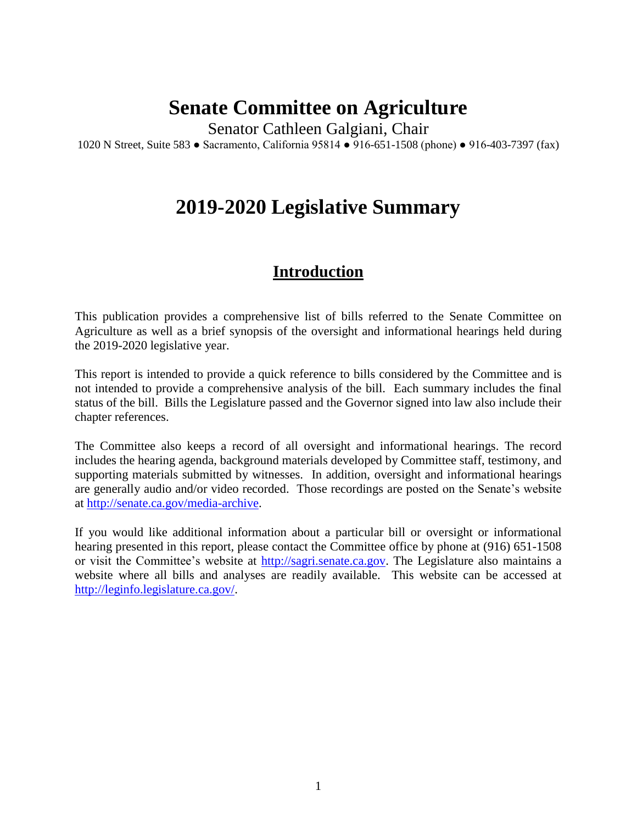# **Senate Committee on Agriculture**

Senator Cathleen Galgiani, Chair

1020 N Street, Suite 583 ● Sacramento, California 95814 ● 916-651-1508 (phone) ● 916-403-7397 (fax)

# **2019-2020 Legislative Summary**

## **Introduction**

This publication provides a comprehensive list of bills referred to the Senate Committee on Agriculture as well as a brief synopsis of the oversight and informational hearings held during the 2019-2020 legislative year.

This report is intended to provide a quick reference to bills considered by the Committee and is not intended to provide a comprehensive analysis of the bill. Each summary includes the final status of the bill. Bills the Legislature passed and the Governor signed into law also include their chapter references.

The Committee also keeps a record of all oversight and informational hearings. The record includes the hearing agenda, background materials developed by Committee staff, testimony, and supporting materials submitted by witnesses. In addition, oversight and informational hearings are generally audio and/or video recorded. Those recordings are posted on the Senate's website at [http://senate.ca.gov/media-archive.](http://senate.ca.gov/media-archive)

If you would like additional information about a particular bill or oversight or informational hearing presented in this report, please contact the Committee office by phone at (916) 651-1508 or visit the Committee's website at [http://sagri.senate.ca.gov.](http://sagri.senate.ca.gov/) The Legislature also maintains a website where all bills and analyses are readily available. This website can be accessed at [http://leginfo.legislature.ca.gov/.](http://leginfo.legislature.ca.gov/)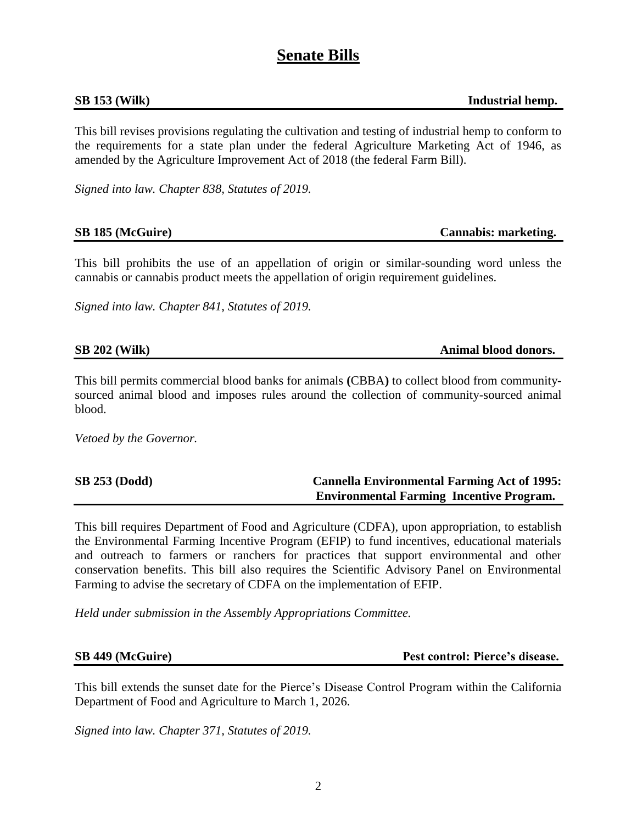## **Senate Bills**

**SB 153 (Wilk) Industrial hemp.**

This bill revises provisions regulating the cultivation and testing of industrial hemp to conform to the requirements for a state plan under the federal Agriculture Marketing Act of 1946, as amended by the Agriculture Improvement Act of 2018 (the federal Farm Bill).

*Signed into law. Chapter 838, Statutes of 2019.*

**SB 185 (McGuire) Cannabis: marketing.**

This bill prohibits the use of an appellation of origin or similar-sounding word unless the cannabis or cannabis product meets the appellation of origin requirement guidelines.

*Signed into law. Chapter 841, Statutes of 2019.*

Animal blood donors.

This bill permits commercial blood banks for animals **(**CBBA**)** to collect blood from communitysourced animal blood and imposes rules around the collection of community-sourced animal blood.

*Vetoed by the Governor.*

| <b>SB 253 (Dodd)</b> | <b>Cannella Environmental Farming Act of 1995:</b> |
|----------------------|----------------------------------------------------|
|                      | <b>Environmental Farming Incentive Program.</b>    |

This bill requires Department of Food and Agriculture (CDFA), upon appropriation, to establish the Environmental Farming Incentive Program (EFIP) to fund incentives, educational materials and outreach to farmers or ranchers for practices that support environmental and other conservation benefits. This bill also requires the Scientific Advisory Panel on Environmental Farming to advise the secretary of CDFA on the implementation of EFIP.

*Held under submission in the Assembly Appropriations Committee.*

**SB 449 (McGuire) Pest control: Pierce's disease.**

This bill extends the sunset date for the Pierce's Disease Control Program within the California Department of Food and Agriculture to March 1, 2026.

*Signed into law. Chapter 371, Statutes of 2019.*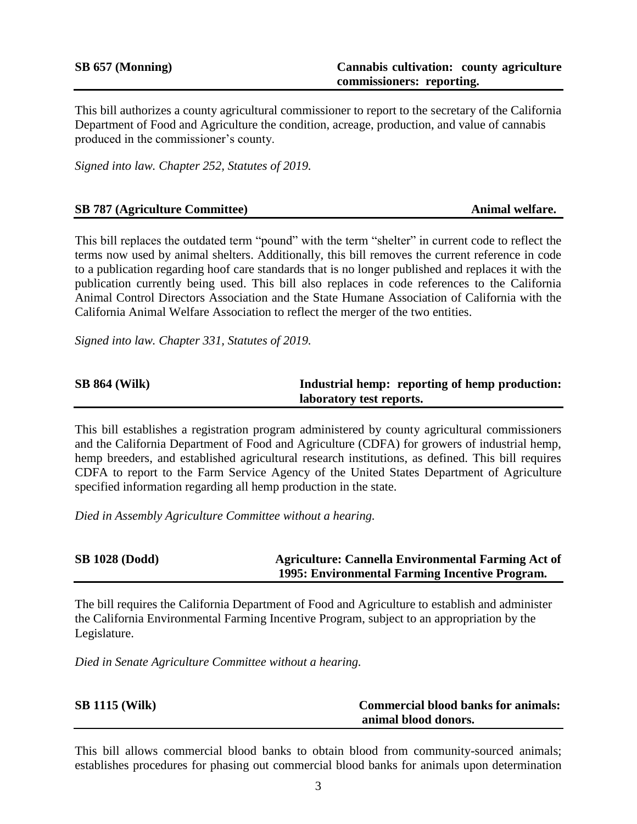This bill authorizes a county agricultural commissioner to report to the secretary of the California Department of Food and Agriculture the condition, acreage, production, and value of cannabis produced in the commissioner's county.

*Signed into law. Chapter 252, Statutes of 2019.*

### **SB 787** (Agriculture Committee) **Animal welfare.** Animal welfare.

This bill replaces the outdated term "pound" with the term "shelter" in current code to reflect the terms now used by animal shelters. Additionally, this bill removes the current reference in code to a publication regarding hoof care standards that is no longer published and replaces it with the publication currently being used. This bill also replaces in code references to the California Animal Control Directors Association and the State Humane Association of California with the California Animal Welfare Association to reflect the merger of the two entities.

*Signed into law. Chapter 331, Statutes of 2019.*

### **SB** 864 (Wilk) **Industrial hemp: reporting of hemp production: laboratory test reports.**

This bill establishes a registration program administered by county agricultural commissioners and the California Department of Food and Agriculture (CDFA) for growers of industrial hemp, hemp breeders, and established agricultural research institutions, as defined. This bill requires CDFA to report to the Farm Service Agency of the United States Department of Agriculture specified information regarding all hemp production in the state.

*Died in Assembly Agriculture Committee without a hearing.*

### **SB 1028 (Dodd) Agriculture: Cannella Environmental Farming Act of 1995: Environmental Farming Incentive Program.**

The bill requires the California Department of Food and Agriculture to establish and administer the California Environmental Farming Incentive Program, subject to an appropriation by the Legislature.

*Died in Senate Agriculture Committee without a hearing.*

| <b>SB 1115 (Wilk)</b> | <b>Commercial blood banks for animals:</b> |
|-----------------------|--------------------------------------------|
|                       | animal blood donors.                       |

This bill allows commercial blood banks to obtain blood from community-sourced animals; establishes procedures for phasing out commercial blood banks for animals upon determination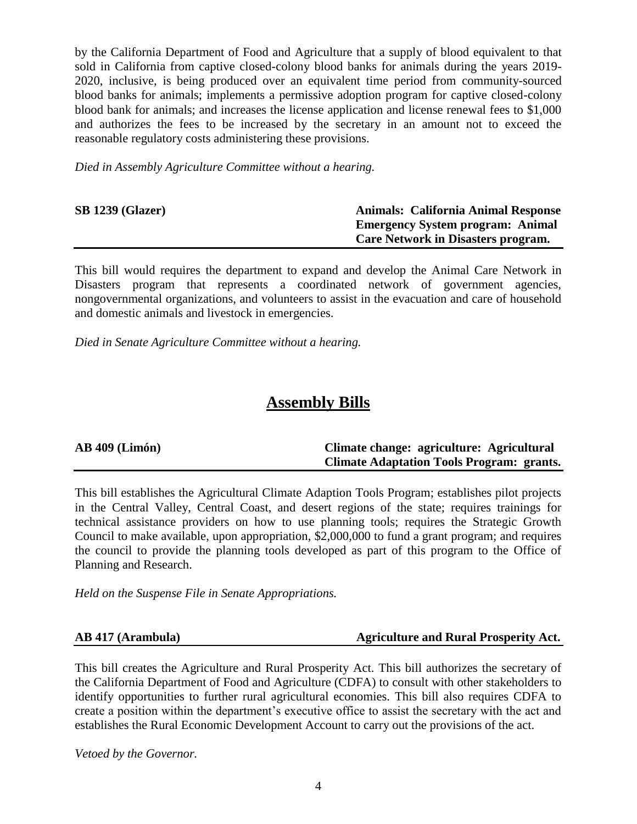by the California Department of Food and Agriculture that a supply of blood equivalent to that sold in California from captive closed-colony blood banks for animals during the years 2019- 2020, inclusive, is being produced over an equivalent time period from community-sourced blood banks for animals; implements a permissive adoption program for captive closed-colony blood bank for animals; and increases the license application and license renewal fees to \$1,000 and authorizes the fees to be increased by the secretary in an amount not to exceed the reasonable regulatory costs administering these provisions.

*Died in Assembly Agriculture Committee without a hearing.*

| <b>SB 1239 (Glazer)</b> | <b>Animals: California Animal Response</b> |
|-------------------------|--------------------------------------------|
|                         | <b>Emergency System program: Animal</b>    |
|                         | Care Network in Disasters program.         |

This bill would requires the department to expand and develop the Animal Care Network in Disasters program that represents a coordinated network of government agencies, nongovernmental organizations, and volunteers to assist in the evacuation and care of household and domestic animals and livestock in emergencies.

*Died in Senate Agriculture Committee without a hearing.*

# **Assembly Bills**

| $AB$ 409 (Limón) | Climate change: agriculture: Agricultural        |
|------------------|--------------------------------------------------|
|                  | <b>Climate Adaptation Tools Program: grants.</b> |

This bill establishes the Agricultural Climate Adaption Tools Program; establishes pilot projects in the Central Valley, Central Coast, and desert regions of the state; requires trainings for technical assistance providers on how to use planning tools; requires the Strategic Growth Council to make available, upon appropriation, \$2,000,000 to fund a grant program; and requires the council to provide the planning tools developed as part of this program to the Office of Planning and Research.

*Held on the Suspense File in Senate Appropriations.*

### **AB 417 (Arambula) Agriculture and Rural Prosperity Act.**

This bill creates the Agriculture and Rural Prosperity Act. This bill authorizes the secretary of the California Department of Food and Agriculture (CDFA) to consult with other stakeholders to identify opportunities to further rural agricultural economies. This bill also requires CDFA to create a position within the department's executive office to assist the secretary with the act and establishes the Rural Economic Development Account to carry out the provisions of the act.

*Vetoed by the Governor.*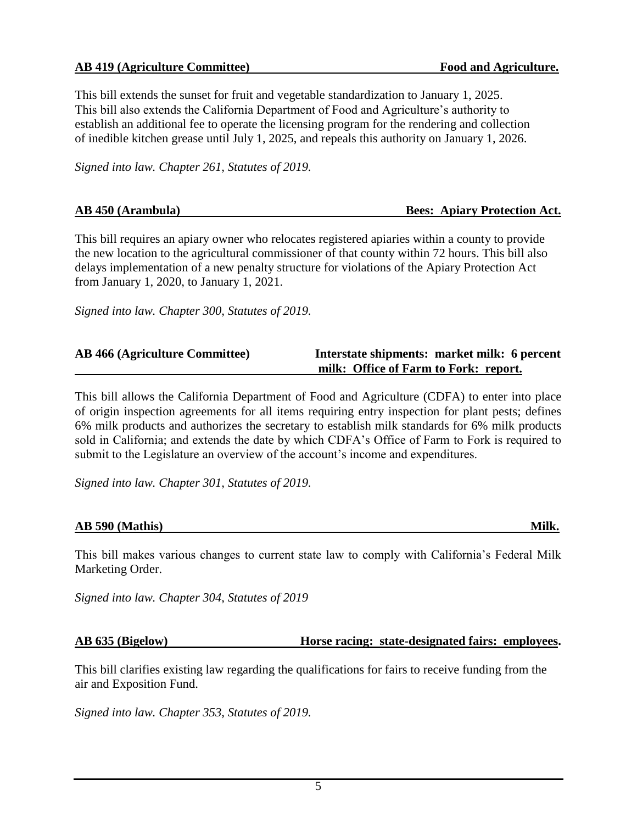### **AB 419 (Agriculture Committee) Food and Agriculture.**

This bill extends the sunset for fruit and vegetable standardization to January 1, 2025. This bill also extends the California Department of Food and Agriculture's authority to establish an additional fee to operate the licensing program for the rendering and collection of inedible kitchen grease until July 1, 2025, and repeals this authority on January 1, 2026.

*Signed into law. Chapter 261, Statutes of 2019.*

| AB 450 (Arambula) | <b>Bees: Apiary Protection Act.</b> |  |
|-------------------|-------------------------------------|--|
|                   |                                     |  |

This bill requires an apiary owner who relocates registered apiaries within a county to provide the new location to the agricultural commissioner of that county within 72 hours. This bill also delays implementation of a new penalty structure for violations of the Apiary Protection Act from January 1, 2020, to January 1, 2021.

*Signed into law. Chapter 300, Statutes of 2019.*

| <b>AB 466 (Agriculture Committee)</b> | Interstate shipments: market milk: 6 percent |
|---------------------------------------|----------------------------------------------|
|                                       | milk: Office of Farm to Fork: report.        |

This bill allows the California Department of Food and Agriculture (CDFA) to enter into place of origin inspection agreements for all items requiring entry inspection for plant pests; defines 6% milk products and authorizes the secretary to establish milk standards for 6% milk products sold in California; and extends the date by which CDFA's Office of Farm to Fork is required to submit to the Legislature an overview of the account's income and expenditures.

*Signed into law. Chapter 301, Statutes of 2019.*

### **AB 590 (Mathis)** Milk.

This bill makes various changes to current state law to comply with California's Federal Milk Marketing Order.

*Signed into law. Chapter 304, Statutes of 2019*

### **AB 635 (Bigelow) Horse racing: state-designated fairs: employees.**

This bill clarifies existing law regarding the qualifications for fairs to receive funding from the air and Exposition Fund.

*Signed into law. Chapter 353, Statutes of 2019.*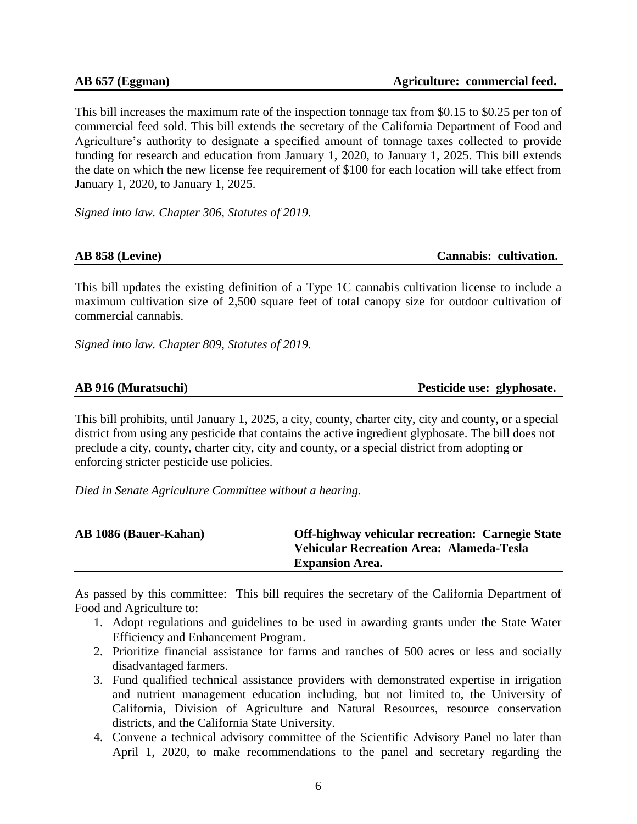This bill increases the maximum rate of the inspection tonnage tax from \$0.15 to \$0.25 per ton of commercial feed sold. This bill extends the secretary of the California Department of Food and Agriculture's authority to designate a specified amount of tonnage taxes collected to provide funding for research and education from January 1, 2020, to January 1, 2025. This bill extends the date on which the new license fee requirement of \$100 for each location will take effect from January 1, 2020, to January 1, 2025.

*Signed into law. Chapter 306, Statutes of 2019.*

### **AB 858 (Levine) Cannabis: cultivation.**

This bill updates the existing definition of a Type 1C cannabis cultivation license to include a maximum cultivation size of 2,500 square feet of total canopy size for outdoor cultivation of commercial cannabis.

*Signed into law. Chapter 809, Statutes of 2019.*

### **AB 916 (Muratsuchi) Pesticide use: glyphosate.**

This bill prohibits, until January 1, 2025, a city, county, charter city, city and county, or a special district from using any pesticide that contains the active ingredient glyphosate. The bill does not preclude a city, county, charter city, city and county, or a special district from adopting or enforcing stricter pesticide use policies.

*Died in Senate Agriculture Committee without a hearing.*

| <b>AB 1086 (Bauer-Kahan)</b> | <b>Off-highway vehicular recreation: Carnegie State</b> |
|------------------------------|---------------------------------------------------------|
|                              | <b>Vehicular Recreation Area: Alameda-Tesla</b>         |
|                              | <b>Expansion Area.</b>                                  |

As passed by this committee: This bill requires the secretary of the California Department of Food and Agriculture to:

- 1. Adopt regulations and guidelines to be used in awarding grants under the State Water Efficiency and Enhancement Program.
- 2. Prioritize financial assistance for farms and ranches of 500 acres or less and socially disadvantaged farmers.
- 3. Fund qualified technical assistance providers with demonstrated expertise in irrigation and nutrient management education including, but not limited to, the University of California, Division of Agriculture and Natural Resources, resource conservation districts, and the California State University.
- 4. Convene a technical advisory committee of the Scientific Advisory Panel no later than April 1, 2020, to make recommendations to the panel and secretary regarding the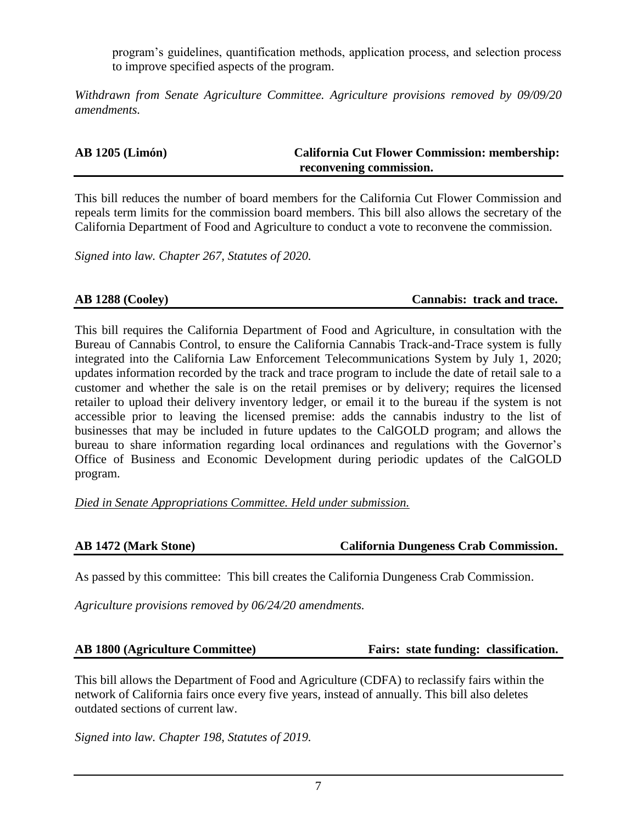program's guidelines, quantification methods, application process, and selection process to improve specified aspects of the program.

*Withdrawn from Senate Agriculture Committee. Agriculture provisions removed by 09/09/20 amendments.*

| <b>AB 1205 (Limón)</b> | <b>California Cut Flower Commission: membership:</b> |
|------------------------|------------------------------------------------------|
|                        | reconvening commission.                              |

This bill reduces the number of board members for the California Cut Flower Commission and repeals term limits for the commission board members. This bill also allows the secretary of the California Department of Food and Agriculture to conduct a vote to reconvene the commission.

*Signed into law. Chapter 267, Statutes of 2020.*

### **AB 1288 (Cooley) Cannabis: track and trace.**

This bill requires the California Department of Food and Agriculture, in consultation with the Bureau of Cannabis Control, to ensure the California Cannabis Track-and-Trace system is fully integrated into the California Law Enforcement Telecommunications System by July 1, 2020; updates information recorded by the track and trace program to include the date of retail sale to a customer and whether the sale is on the retail premises or by delivery; requires the licensed retailer to upload their delivery inventory ledger, or email it to the bureau if the system is not accessible prior to leaving the licensed premise: adds the cannabis industry to the list of businesses that may be included in future updates to the CalGOLD program; and allows the bureau to share information regarding local ordinances and regulations with the Governor's Office of Business and Economic Development during periodic updates of the CalGOLD program.

*Died in Senate Appropriations Committee. Held under submission.*

### **AB 1472 (Mark Stone) California Dungeness Crab Commission.**

As passed by this committee: This bill creates the California Dungeness Crab Commission.

*Agriculture provisions removed by 06/24/20 amendments.*

### **AB 1800 (Agriculture Committee) Fairs: state funding: classification.**

This bill allows the Department of Food and Agriculture (CDFA) to reclassify fairs within the network of California fairs once every five years, instead of annually. This bill also deletes outdated sections of current law.

*Signed into law. Chapter 198, Statutes of 2019.*